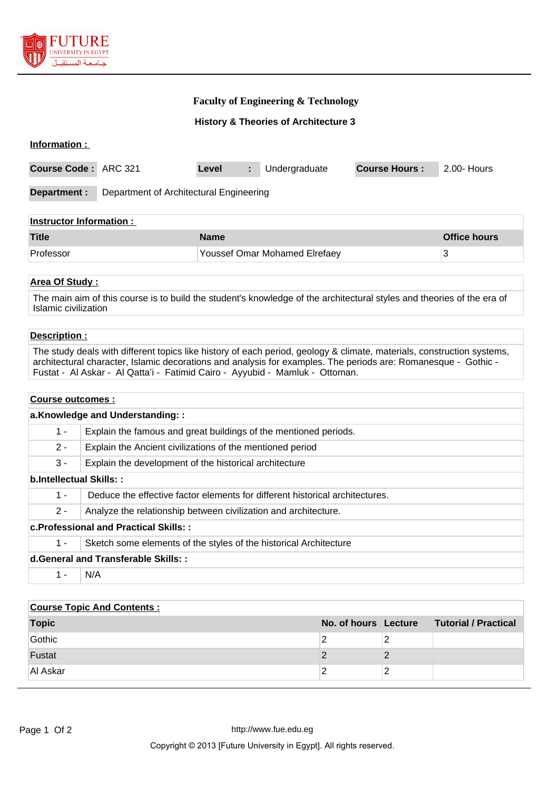

# **Faculty of Engineering & Technology**

**History & Theories of Architecture 3**

| Information :                                           |  |             |                               |                      |                     |
|---------------------------------------------------------|--|-------------|-------------------------------|----------------------|---------------------|
| Course Code: ARC 321                                    |  | Level<br>÷. | Undergraduate                 | <b>Course Hours:</b> | 2.00- Hours         |
| Department :<br>Department of Architectural Engineering |  |             |                               |                      |                     |
| <b>Instructor Information:</b>                          |  |             |                               |                      |                     |
| <b>Title</b>                                            |  | <b>Name</b> |                               |                      | <b>Office hours</b> |
| Professor                                               |  |             | Youssef Omar Mohamed Elrefaey |                      | 3                   |

# **Area Of Study :**

The main aim of this course is to build the student's knowledge of the architectural styles and theories of the era of Islamic civilization

# **Description :**

The study deals with different topics like history of each period, geology & climate, materials, construction systems, architectural character, Islamic decorations and analysis for examples. The periods are: Romanesque - Gothic - Fustat - Al Askar - Al Qatta'i - Fatimid Cairo - Ayyubid - Mamluk - Ottoman.

#### **Course outcomes :**

| a.Knowledge and Understanding::              |                                                                              |  |  |  |
|----------------------------------------------|------------------------------------------------------------------------------|--|--|--|
| $1 -$                                        | Explain the famous and great buildings of the mentioned periods.             |  |  |  |
| $2 -$                                        | Explain the Ancient civilizations of the mentioned period                    |  |  |  |
| $3 -$                                        | Explain the development of the historical architecture                       |  |  |  |
| b.Intellectual Skills::                      |                                                                              |  |  |  |
| $1 -$                                        | Deduce the effective factor elements for different historical architectures. |  |  |  |
| $2 -$                                        | Analyze the relationship between civilization and architecture.              |  |  |  |
| <b>c.Professional and Practical Skills::</b> |                                                                              |  |  |  |
| $1 -$                                        | Sketch some elements of the styles of the historical Architecture            |  |  |  |
| d. General and Transferable Skills::         |                                                                              |  |  |  |
| 1 -                                          | N/A                                                                          |  |  |  |

| <b>Course Topic And Contents:</b> |  |   |                                           |
|-----------------------------------|--|---|-------------------------------------------|
| <b>Topic</b>                      |  |   | No. of hours Lecture Tutorial / Practical |
| Gothic                            |  | っ |                                           |
| Fustat                            |  |   |                                           |
| Al Askar                          |  |   |                                           |